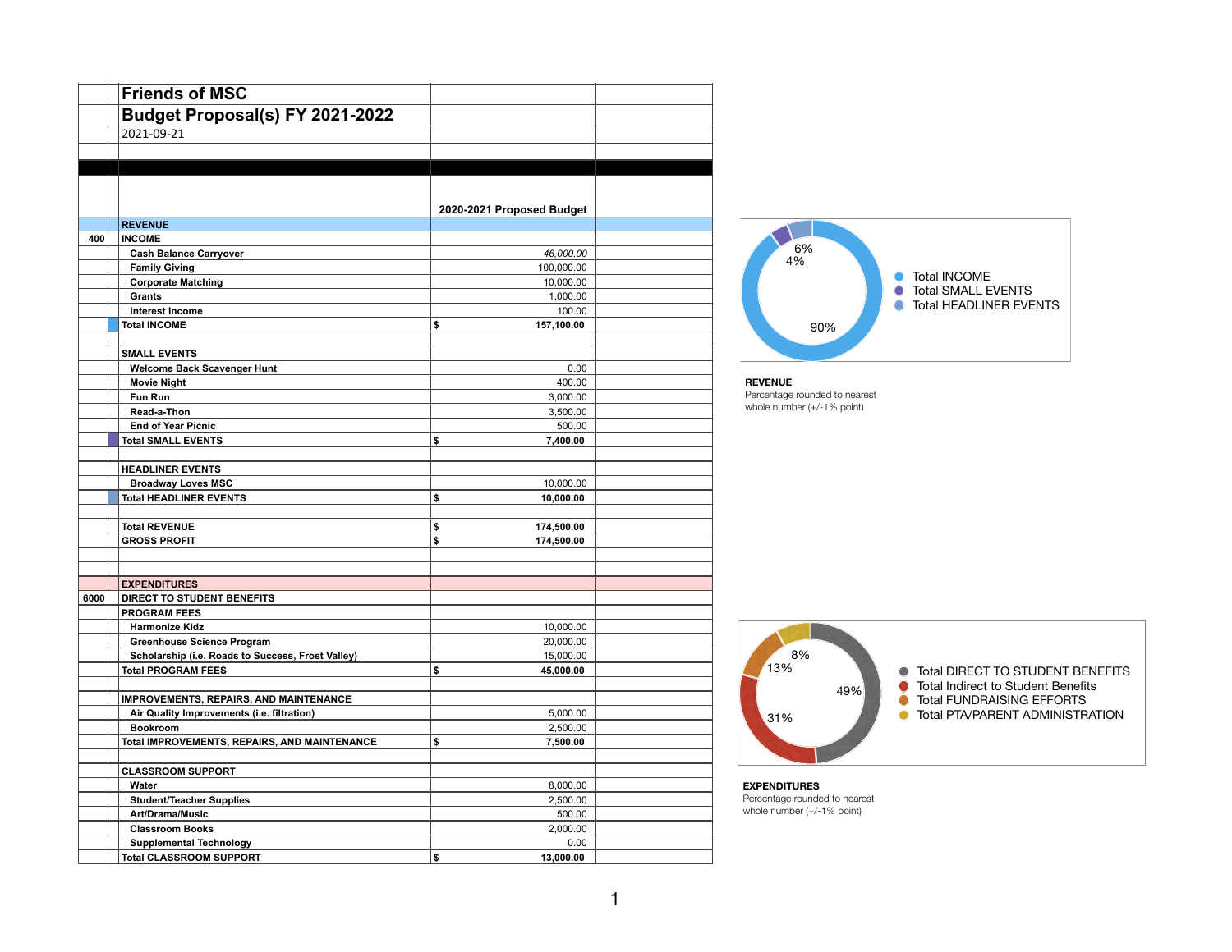|      | <b>Friends of MSC</b>                                      |                              |  |
|------|------------------------------------------------------------|------------------------------|--|
|      | Budget Proposal(s) FY 2021-2022                            |                              |  |
|      | 2021-09-21                                                 |                              |  |
|      |                                                            |                              |  |
|      |                                                            |                              |  |
|      |                                                            |                              |  |
|      |                                                            |                              |  |
|      |                                                            | 2020-2021 Proposed Budget    |  |
|      | <b>REVENUE</b>                                             |                              |  |
| 400  | <b>INCOME</b>                                              |                              |  |
|      | <b>Cash Balance Carryover</b>                              | 46,000.00                    |  |
|      | <b>Family Giving</b>                                       | 100,000.00                   |  |
|      | <b>Corporate Matching</b>                                  | 10,000.00                    |  |
|      | Grants                                                     | 1,000.00                     |  |
|      | <b>Interest Income</b>                                     | 100.00                       |  |
|      | <b>Total INCOME</b>                                        | \$<br>157,100.00             |  |
|      |                                                            |                              |  |
|      | <b>SMALL EVENTS</b>                                        |                              |  |
|      | Welcome Back Scavenger Hunt                                | 0.00                         |  |
|      | <b>Movie Night</b>                                         | 400.00                       |  |
|      | <b>Fun Run</b>                                             | 3,000.00                     |  |
|      | Read-a-Thon                                                | 3,500.00                     |  |
|      | <b>End of Year Picnic</b>                                  | 500.00                       |  |
|      | <b>Total SMALL EVENTS</b>                                  | \$<br>7,400.00               |  |
|      |                                                            |                              |  |
|      | <b>HEADLINER EVENTS</b>                                    |                              |  |
|      | <b>Broadway Loves MSC</b><br><b>Total HEADLINER EVENTS</b> | \$<br>10,000.00<br>10,000.00 |  |
|      |                                                            |                              |  |
|      | <b>Total REVENUE</b>                                       | \$<br>174,500.00             |  |
|      | <b>GROSS PROFIT</b>                                        | \$<br>174,500.00             |  |
|      |                                                            |                              |  |
|      |                                                            |                              |  |
|      | <b>EXPENDITURES</b>                                        |                              |  |
| 6000 | DIRECT TO STUDENT BENEFITS                                 |                              |  |
|      | <b>PROGRAM FEES</b>                                        |                              |  |
|      | <b>Harmonize Kidz</b>                                      | 10,000.00                    |  |
|      | <b>Greenhouse Science Program</b>                          | 20,000.00                    |  |
|      | Scholarship (i.e. Roads to Success, Frost Valley)          | 15,000.00                    |  |
|      | <b>Total PROGRAM FEES</b>                                  | \$<br>45,000.00              |  |
|      |                                                            |                              |  |
|      | <b>IMPROVEMENTS, REPAIRS, AND MAINTENANCE</b>              |                              |  |
|      | Air Quality Improvements (i.e. filtration)                 | 5,000.00                     |  |
|      | <b>Bookroom</b>                                            | 2,500.00                     |  |
|      | Total IMPROVEMENTS, REPAIRS, AND MAINTENANCE               | \$<br>7,500.00               |  |
|      |                                                            |                              |  |
|      | <b>CLASSROOM SUPPORT</b>                                   |                              |  |
|      | Water                                                      | 8,000.00                     |  |
|      | <b>Student/Teacher Supplies</b>                            | 2,500.00                     |  |
|      | Art/Drama/Music                                            | 500.00                       |  |
|      | <b>Classroom Books</b>                                     | 2,000.00                     |  |
|      | <b>Supplemental Technology</b>                             | 0.00                         |  |
|      | <b>Total CLASSROOM SUPPORT</b>                             | \$<br>13,000.00              |  |



**REVENUE** 

Percentage rounded to nearest whole number (+/-1% point)



**EXPENDITURES**  Percentage rounded to nearest whole number (+/-1% point)